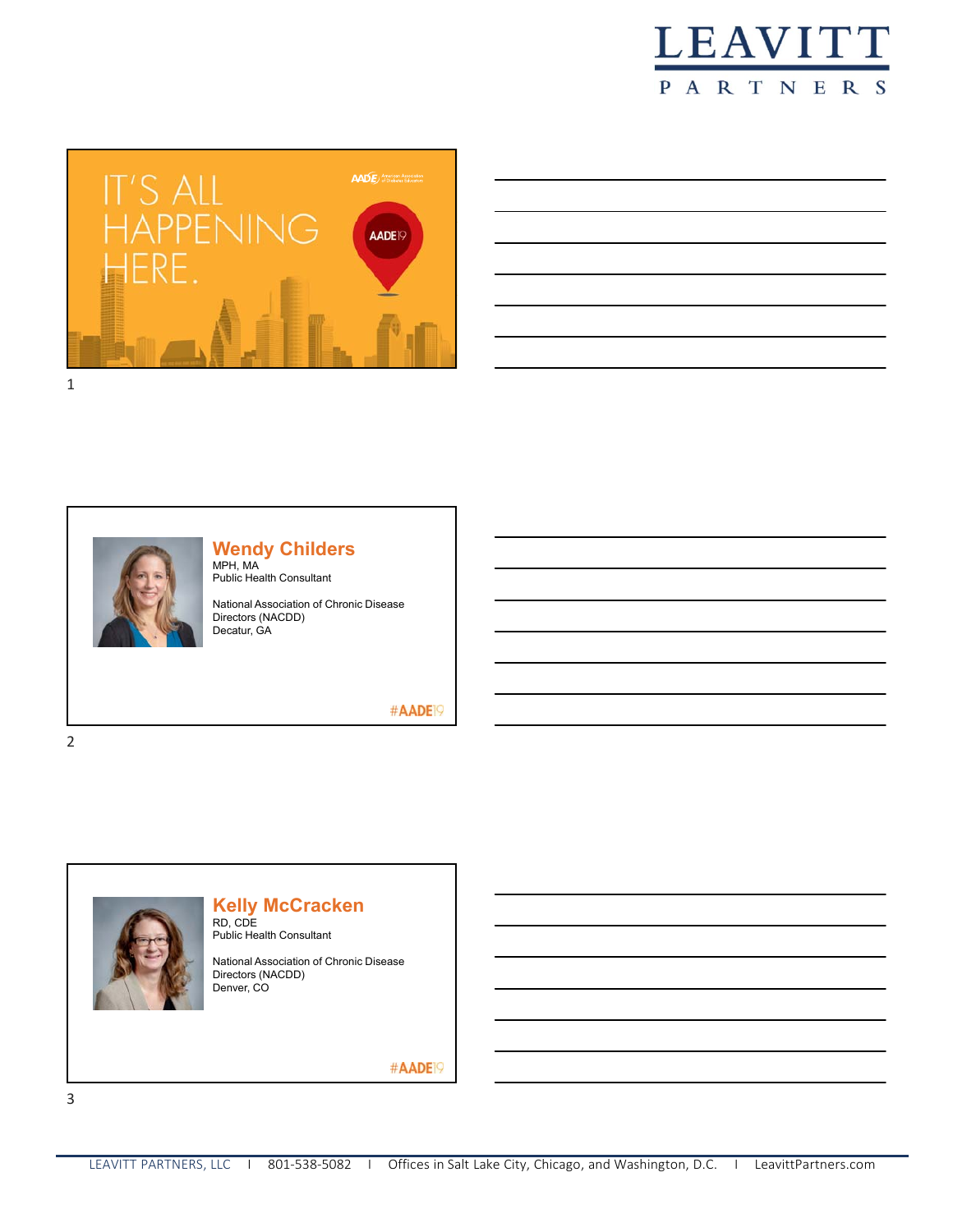





#### **Wendy Childers** MPH, MA

Public Health Consultant

National Association of Chronic Disease Directors (NACDD) Decatur, GA

#AADE<sup>19</sup>



# **Kelly McCracken**

RD, CDE Public Health Consultant

National Association of Chronic Disease Directors (NACDD) Denver, CO

#AADE<sup>19</sup>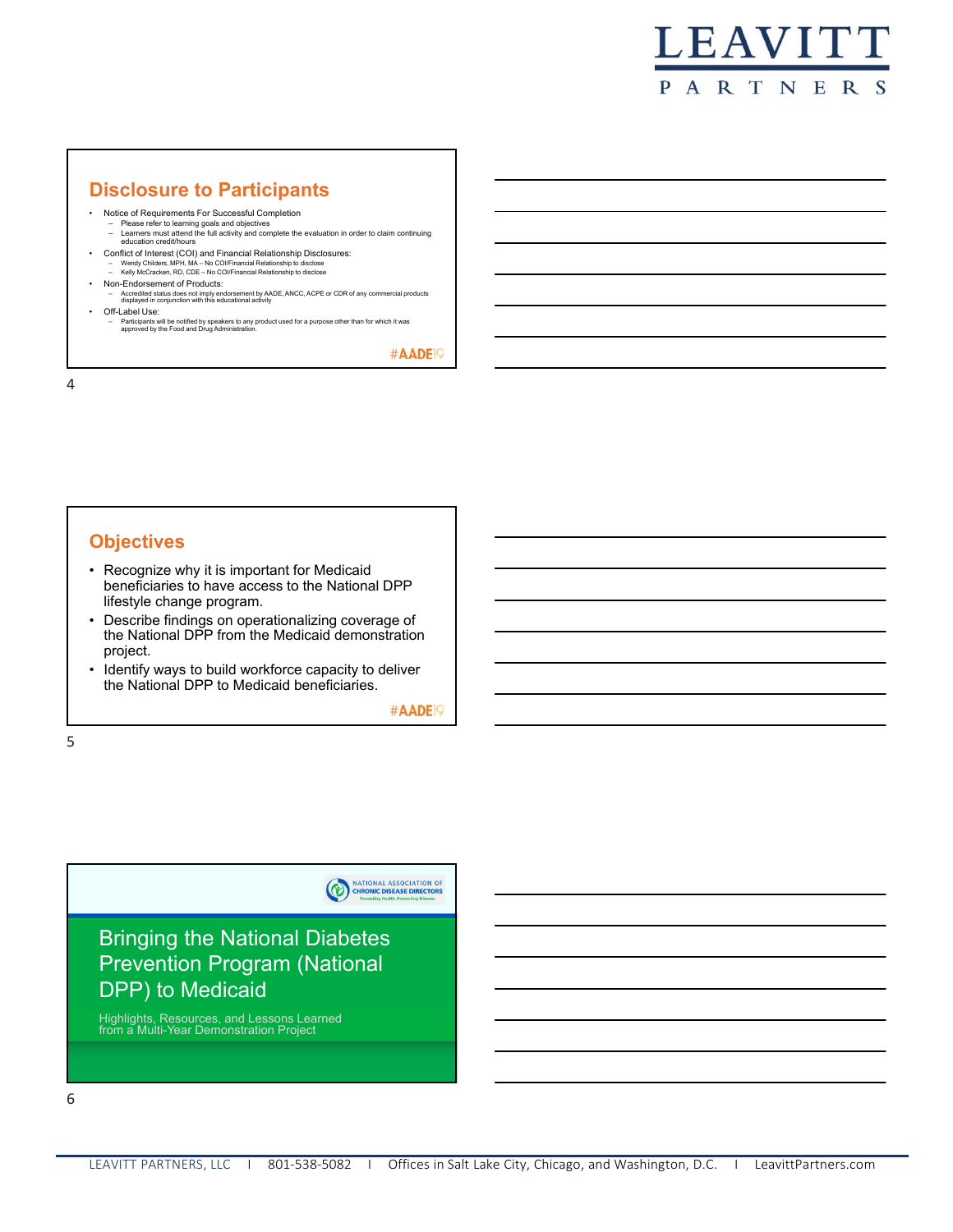

### **Disclosure to Participants**

- Notice of Requirements For Successful Completion
	- Please refer to learning goals and objectives Learners must attend the full activity and complete the evaluation in order to claim continuing education credit/hours
- Conflict of Interest (COI) and Financial Relationship Disclosures:
- Wendy Childers, MPH, MA No COI/Financial Relationship to disclose Kelly McCracken, RD, CDE No COI/Financial Relationship to disclose
- Non-Endorsement of Products:
	- Accredited status does not imply endorsement by AADE, ANCC, ACPE or CDR of any commercial products displayed in conjunction with this educational activity
- Off-Label Use:
	- Participants will be notified by speakers to any product used for a purpose other than for which it was approved by the Food and Drug Administration.

#AADE<sup>19</sup>

4

### **Objectives**

- Recognize why it is important for Medicaid beneficiaries to have access to the National DPP lifestyle change program.
- Describe findings on operationalizing coverage of the National DPP from the Medicaid demonstration project.
- Identify ways to build workforce capacity to deliver the National DPP to Medicaid beneficiaries.

#AADE<sup>19</sup>

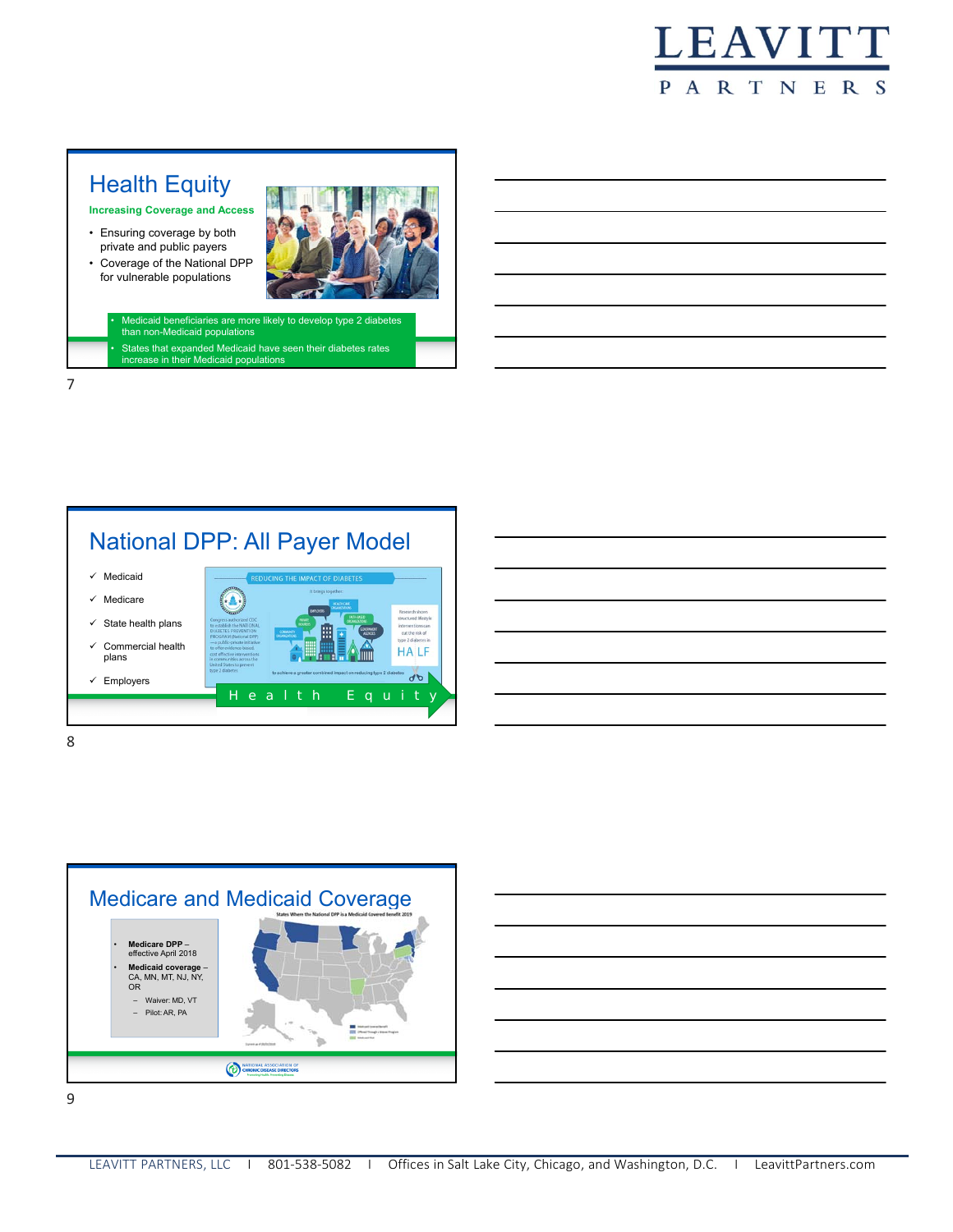

# **Health Equity**

**Increasing Coverage and Access**

- Ensuring coverage by both private and public payers
- Coverage of the National DPP for vulnerable populations



• Medicaid beneficiaries are more likely to develop type 2 diabetes than non-Medicaid populations

• States that expanded Medicaid have seen their diabetes rates increase in their Medicaid populations

# National DPP: All Payer Model







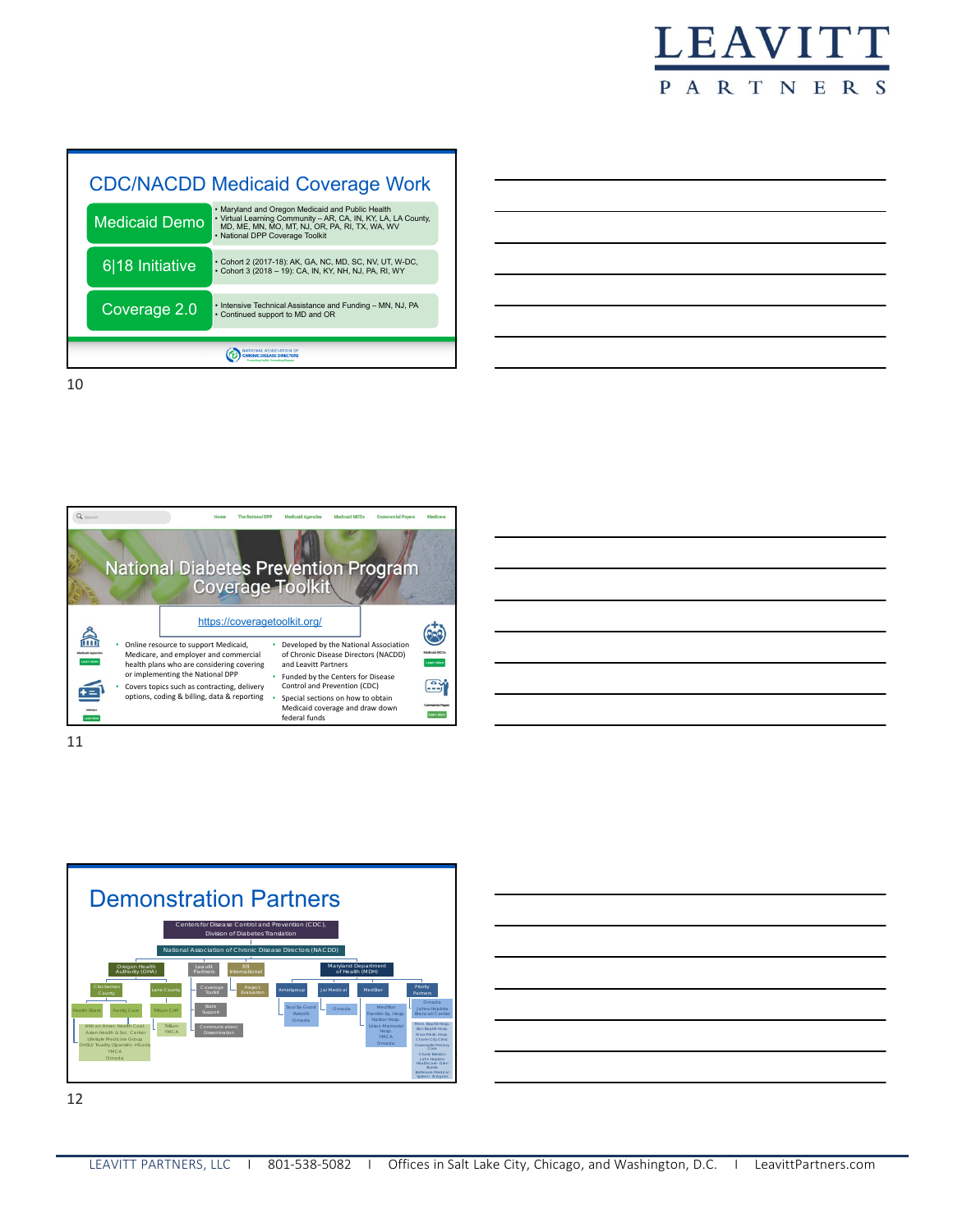

10





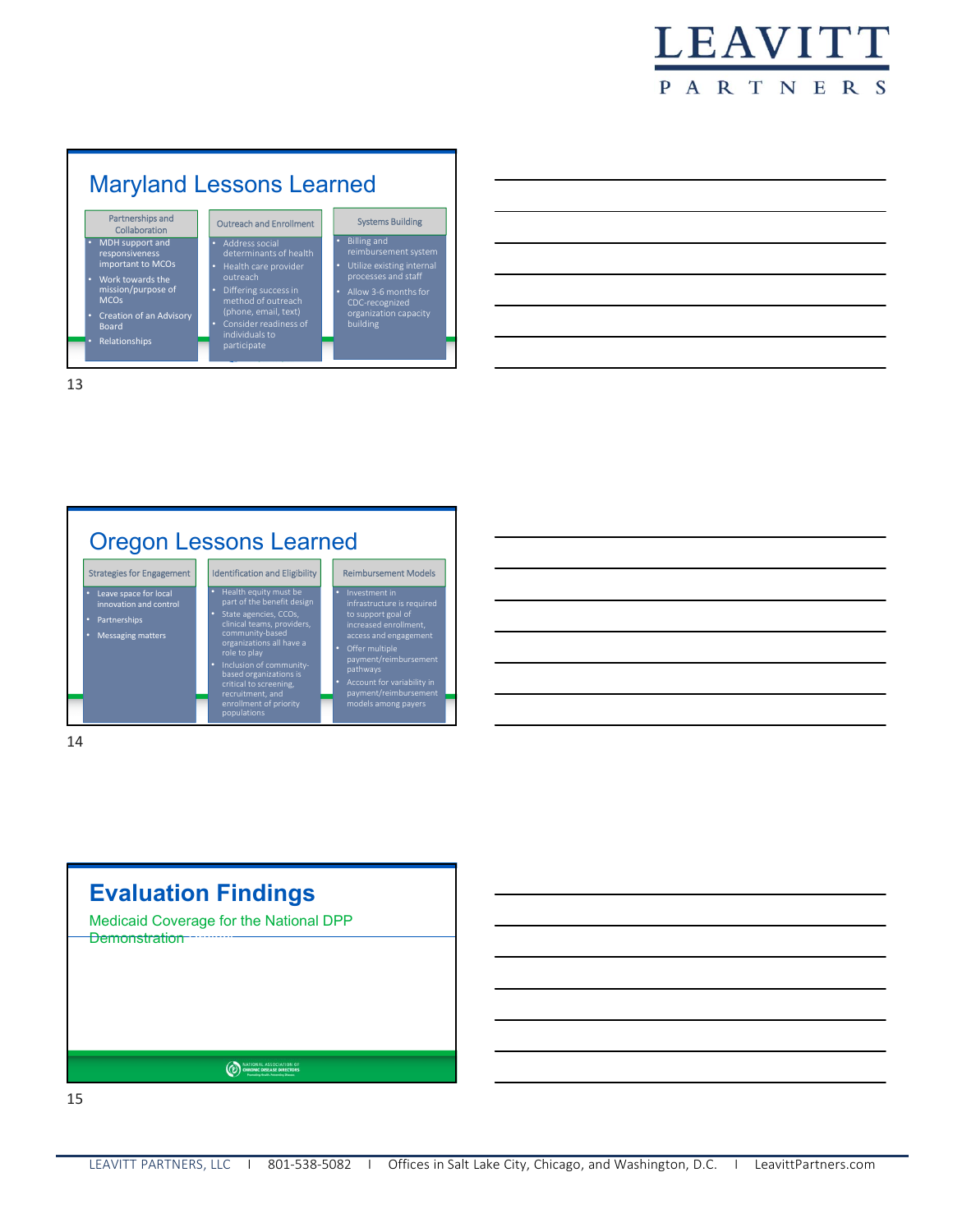









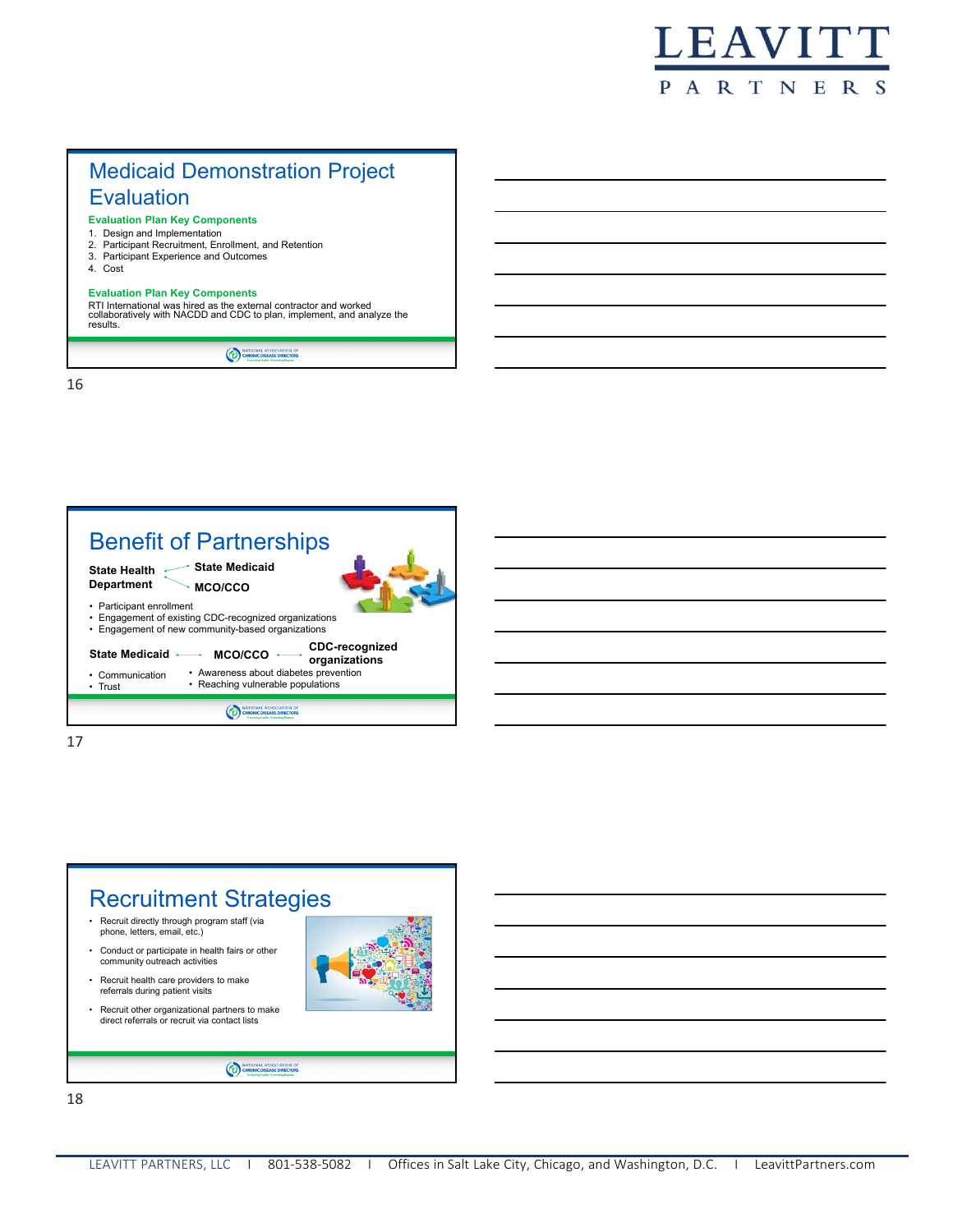

## Medicaid Demonstration Project **Evaluation**

- **Evaluation Plan Key Components**
- 1. Design and Implementation
- 2. Participant Recruitment, Enrollment, and Retention
- 3. Participant Experience and Outcomes
- 4. Cost

#### **Evaluation Plan Key Components**

RTI International was hired as the external contractor and worked collaboratively with NACDD and CDC to plan, implement, and analyze the results.

MATIONAL ASSOCIATION OF

16



17

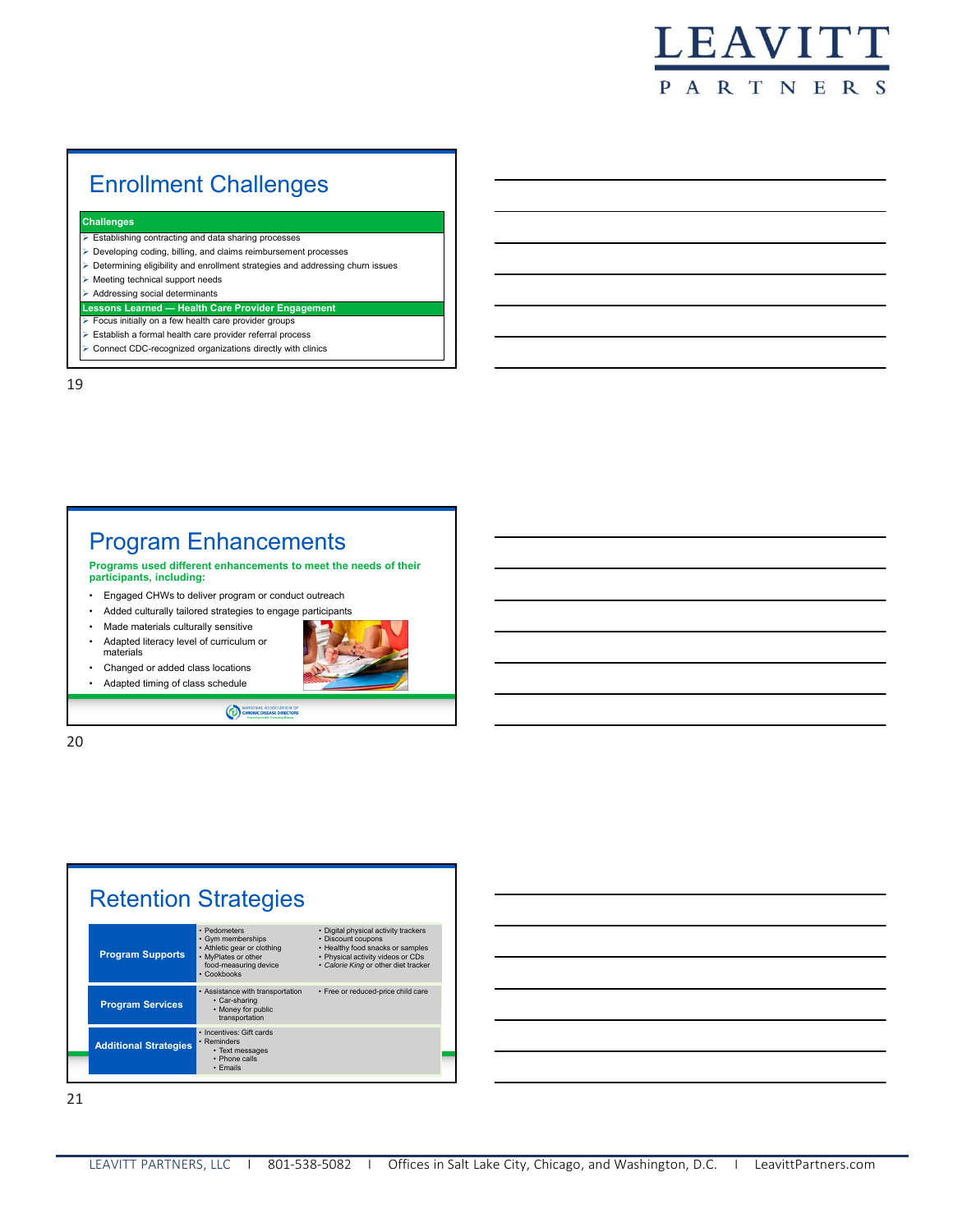

# Enrollment Challenges

#### **Challenges**

- Establishing contracting and data sharing processes
- Developing coding, billing, and claims reimbursement processes
- Determining eligibility and enrollment strategies and addressing churn issues
- Meeting technical support needs
- $\triangleright$  Addressing social determinants
- **Lessons Learned Health Care Provider Engagement**
- **Focus initially on a few health care provider groups**
- Establish a formal health care provider referral process
- Connect CDC-recognized organizations directly with clinics

19

### Program Enhancements

**Programs used different enhancements to meet the needs of their participants, including:** 

• Engaged CHWs to deliver program or conduct outreach

 $\odot$ 

- Added culturally tailored strategies to engage participants
- Made materials culturally sensitive
- Adapted literacy level of curriculum or materials
- Changed or added class locations
- Adapted timing of class schedule



20



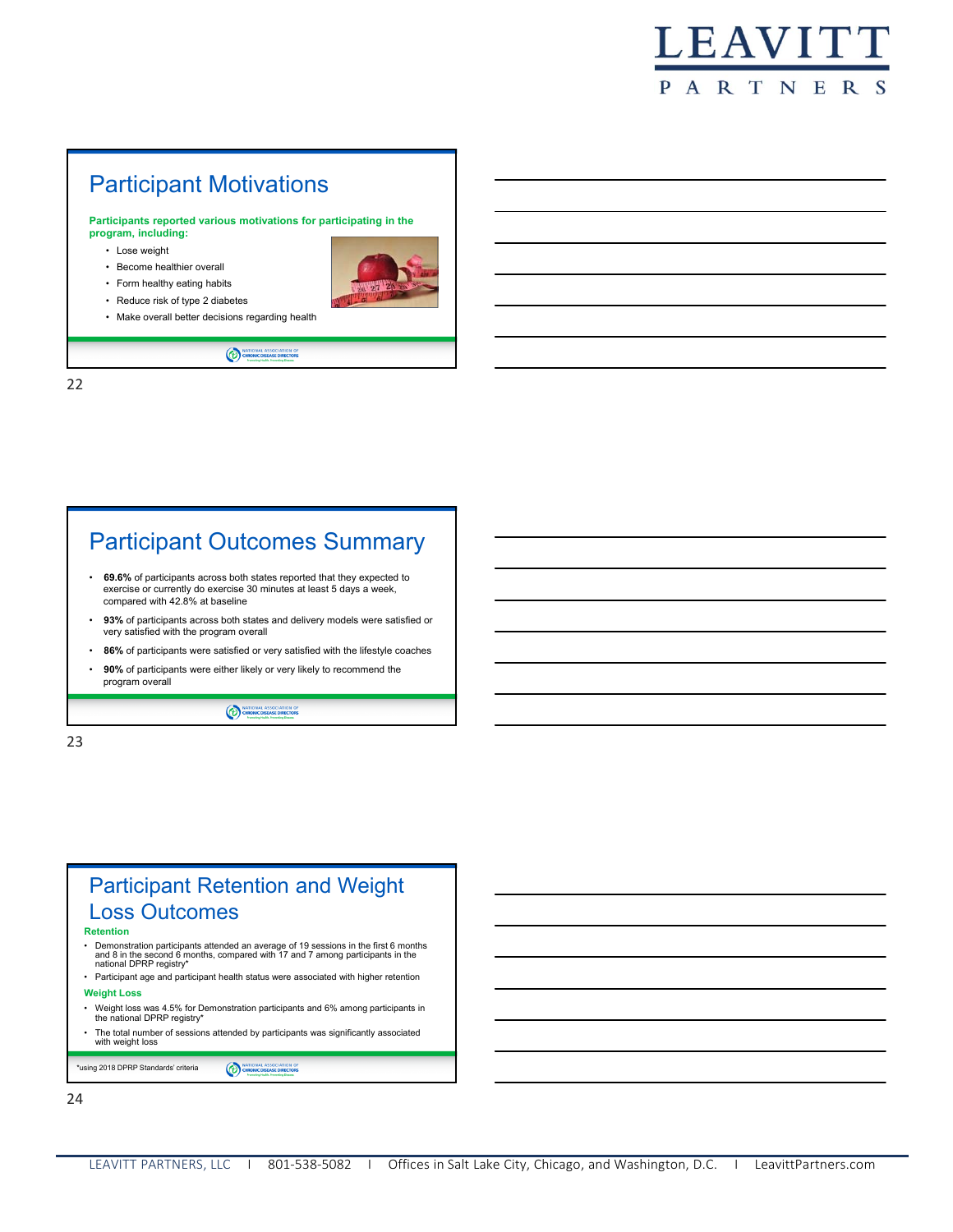

# Participant Motivations

**Participants reported various motivations for participating in the program, including:** 

MATIONAL ASSOCIATION OF

- Lose weight
- Become healthier overall
- Form healthy eating habits
- Reduce risk of type 2 diabetes
- Make overall better decisions regarding health



22

# Participant Outcomes Summary

- **69.6%** of participants across both states reported that they expected to exercise or currently do exercise 30 minutes at least 5 days a week, compared with 42.8% at baseline
- **93%** of participants across both states and delivery models were satisfied or very satisfied with the program overall
- **86%** of participants were satisfied or very satisfied with the lifestyle coaches
- **90%** of participants were either likely or very likely to recommend the program overall

(b) OH

23

### Participant Retention and Weight Loss Outcomes **Retention**

- 
- Demonstration participants attended an average of 19 sessions in the first 6 months and 8 in the second 6 months, compared with 17 and 7 among participants in the national DPRP registry\*
- Participant age and participant health status were associated with higher retention **Weight Loss**
- Weight loss was 4.5% for Demonstration participants and 6% among participants in the national DPRP registry\*
- The total number of sessions attended by participants was significantly associated with weight loss

\*using 2018 DPRP Standards' criteria NATIONAL ASSOCIATION OF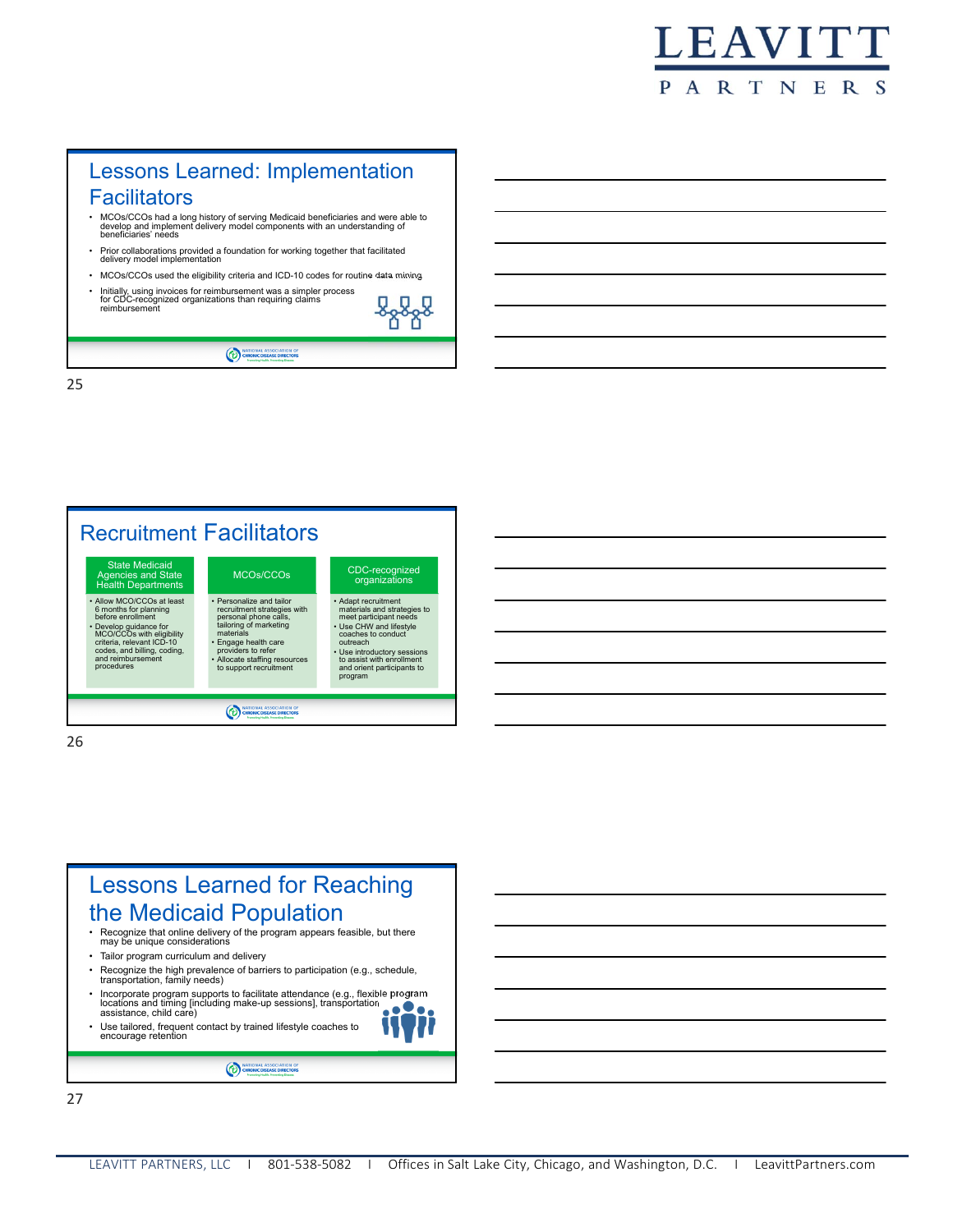## Lessons Learned: Implementation **Facilitators**

- MCOs/CCOs had a long history of serving Medicaid beneficiaries and were able to develop and implement delivery model components with an understanding of beneficiaries' needs
- Prior collaborations provided a foundation for working together that facilitated delivery model implementation
- MCOs/CCOs used the eligibility criteria and ICD-10 codes for routine data mining
- Initially, using invoices for reimbursement was a simpler process for CDC-recognized organizations than requiring claims reimbursement



MATIONAL ASSOCIATION OF

25



26

### Lessons Learned for Reaching the Medicaid Population • Recognize that online delivery of the program appears feasible, but there may be unique considerations • Tailor program curriculum and delivery • Recognize the high prevalence of barriers to participation (e.g., schedule, transportation, family needs) • Incorporate program supports to facilitate attendance (e.g., flexible program

- locations and timing [including make-up sessions], transportation assistance, child care) Use tailored, frequent contact by trained lifestyle coaches to
- encourage retention

NATIONAL ASSOCIATION OF

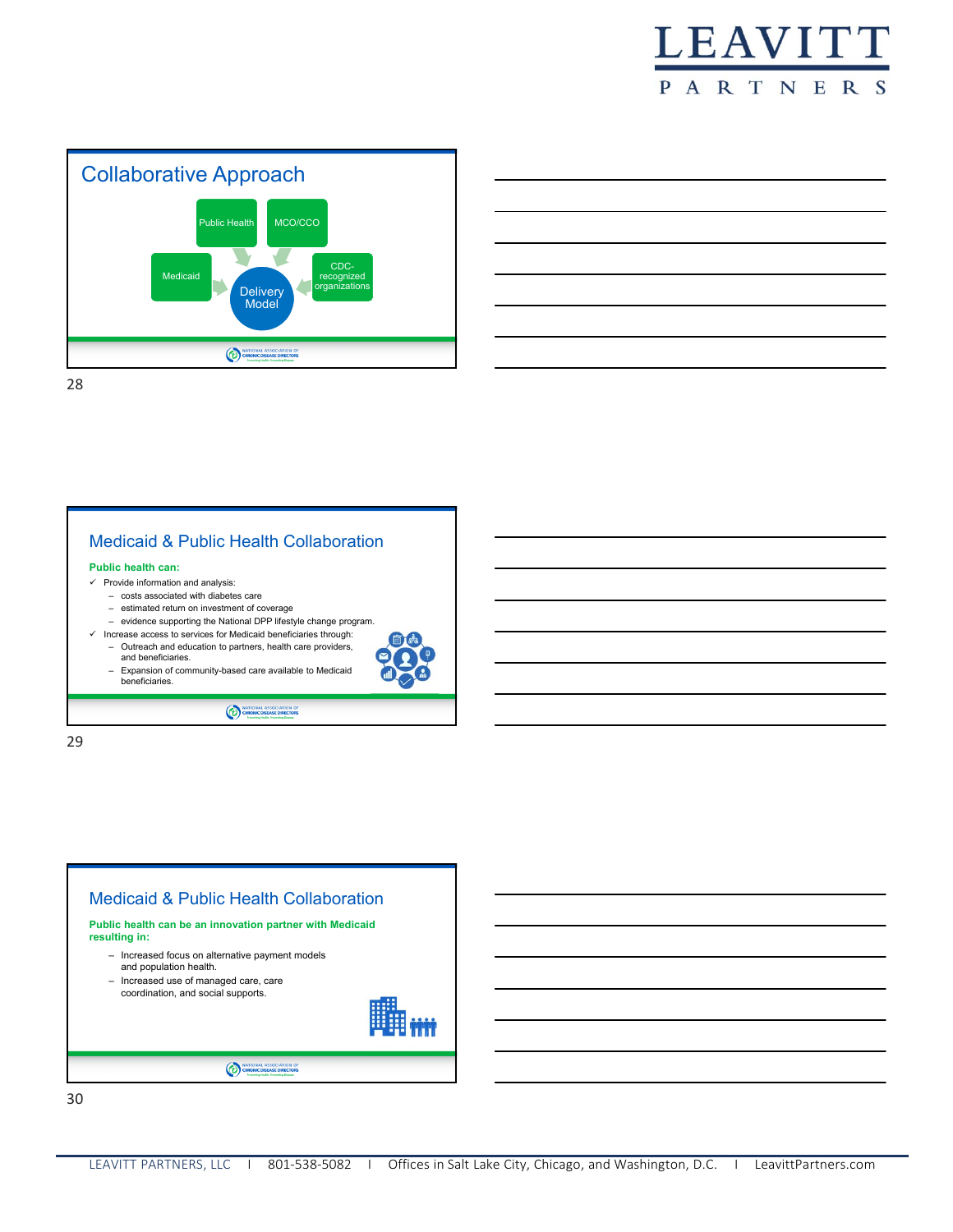





Medicaid & Public Health Collaboration **Public health can:**  $\checkmark$  Provide information and analysis: – costs associated with diabetes care – estimated return on investment of coverage – evidence supporting the National DPP lifestyle change program. Increase access to services for Medicaid beneficiaries through: – Outreach and education to partners, health care providers, and beneficiaries. – Expansion of community-based care available to Medicaid beneficiaries. **CO**  $\frac{1}{2}$